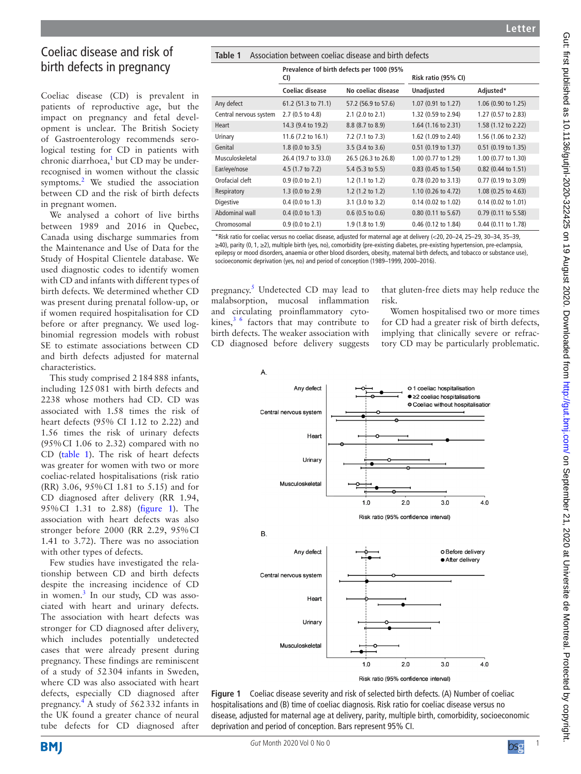# Coeliac disease and risk of birth defects in pregnancy

Coeliac disease (CD) is prevalent in patients of reproductive age, but the impact on pregnancy and fetal development is unclear. The British Society of Gastroenterology recommends serological testing for CD in patients with chronic diarrhoea,<sup>[1](#page-1-0)</sup> but CD may be underrecognised in women without the classic symptoms.<sup>[2](#page-1-1)</sup> We studied the association between CD and the risk of birth defects in pregnant women.

We analysed a cohort of live births between 1989 and 2016 in Quebec, Canada using discharge summaries from the Maintenance and Use of Data for the Study of Hospital Clientele database. We used diagnostic codes to identify women with CD and infants with different types of birth defects. We determined whether CD was present during prenatal follow-up, or if women required hospitalisation for CD before or after pregnancy. We used logbinomial regression models with robust SE to estimate associations between CD and birth defects adjusted for maternal characteristics.

This study comprised 2184888 infants, including 125081 with birth defects and 2238 whose mothers had CD. CD was associated with 1.58 times the risk of heart defects (95% CI 1.12 to 2.22) and 1.56 times the risk of urinary defects (95%CI 1.06 to 2.32) compared with no CD [\(table](#page-0-0) 1). The risk of heart defects was greater for women with two or more coeliac-related hospitalisations (risk ratio (RR) 3.06, 95%CI 1.81 to 5.15) and for CD diagnosed after delivery (RR 1.94, 95%CI 1.31 to 2.88) ([figure](#page-0-1) 1). The association with heart defects was also stronger before 2000 (RR 2.29, 95%CI 1.41 to 3.72). There was no association with other types of defects.

Few studies have investigated the relationship between CD and birth defects despite the increasing incidence of CD in women.<sup>[3](#page-1-2)</sup> In our study, CD was associated with heart and urinary defects. The association with heart defects was stronger for CD diagnosed after delivery, which includes potentially undetected cases that were already present during pregnancy. These findings are reminiscent of a study of 52304 infants in Sweden, where CD was also associated with heart defects, especially CD diagnosed after pregnancy[.4](#page-1-3) A study of 562332 infants in the UK found a greater chance of neural tube defects for CD diagnosed after

<span id="page-0-0"></span>

| Table 1<br>Association between coeliac disease and birth defects |                                                  |                             |                       |                       |
|------------------------------------------------------------------|--------------------------------------------------|-----------------------------|-----------------------|-----------------------|
|                                                                  | Prevalence of birth defects per 1000 (95%<br>CI) |                             | Risk ratio (95% CI)   |                       |
|                                                                  | Coeliac disease                                  | No coeliac disease          | Unadjusted            | Adjusted*             |
| Any defect                                                       | 61.2 (51.3 to 71.1)                              | 57.2 (56.9 to 57.6)         | 1.07 (0.91 to 1.27)   | 1.06 (0.90 to 1.25)   |
| Central nervous system                                           | 2.7 (0.5 to 4.8)                                 | 2.1 (2.0 to 2.1)            | 1.32 (0.59 to 2.94)   | 1.27 (0.57 to 2.83)   |
| Heart                                                            | 14.3 (9.4 to 19.2)                               | 8.8 (8.7 to 8.9)            | 1.64 (1.16 to 2.31)   | 1.58 (1.12 to 2.22)   |
| Urinary                                                          | 11.6 (7.2 to 16.1)                               | 7.2 (7.1 to 7.3)            | 1.62 (1.09 to 2.40)   | 1.56 (1.06 to 2.32)   |
| Genital                                                          | 1.8 (0.0 to 3.5)                                 | 3.5 (3.4 to 3.6)            | 0.51 (0.19 to 1.37)   | 0.51 (0.19 to 1.35)   |
| Musculoskeletal                                                  | 26.4 (19.7 to 33.0)                              | 26.5 (26.3 to 26.8)         | 1.00 (0.77 to 1.29)   | 1.00 (0.77 to 1.30)   |
| Ear/eye/nose                                                     | 4.5 (1.7 to 7.2)                                 | 5.4 (5.3 to 5.5)            | 0.83 (0.45 to 1.54)   | 0.82 (0.44 to 1.51)   |
| Orofacial cleft                                                  | 0.9(0.0 to 2.1)                                  | 1.2 $(1.1 \text{ to } 1.2)$ | $0.78$ (0.20 to 3.13) | 0.77 (0.19 to 3.09)   |
| Respiratory                                                      | 1.3(0.0 to 2.9)                                  | 1.2 (1.2 to 1.2)            | 1.10 (0.26 to 4.72)   | 1.08 (0.25 to 4.63)   |
| Digestive                                                        | $0.4$ (0.0 to 1.3)                               | 3.1 (3.0 to 3.2)            | $0.14$ (0.02 to 1.02) | $0.14$ (0.02 to 1.01) |
| Abdominal wall                                                   | $0.4$ (0.0 to 1.3)                               | $0.6$ (0.5 to 0.6)          | $0.80$ (0.11 to 5.67) | $0.79$ (0.11 to 5.58) |
| Chromosomal                                                      | 0.9(0.0 to 2.1)                                  | 1.9 (1.8 to 1.9)            | 0.46 (0.12 to 1.84)   | 0.44 (0.11 to 1.78)   |

\*Risk ratio for coeliac versus no coeliac disease, adjusted for maternal age at delivery (<20, 20–24, 25–29, 30–34, 35–39, ≥40), parity (0, 1, ≥2), multiple birth (yes, no), comorbidity (pre-existing diabetes, pre-existing hypertension, pre-eclampsia, epilepsy or mood disorders, anaemia or other blood disorders, obesity, maternal birth defects, and tobacco or substance use), socioeconomic deprivation (yes, no) and period of conception (1989–1999, 2000–2016).

pregnancy.<sup>[5](#page-1-4)</sup> Undetected CD may lead to malabsorption, mucosal inflammation and circulating proinflammatory cytokines,  $3/6$  factors that may contribute to birth defects. The weaker association with CD diagnosed before delivery suggests

that gluten-free diets may help reduce the risk.

Women hospitalised two or more times for CD had a greater risk of birth defects, implying that clinically severe or refractory CD may be particularly problematic.



<span id="page-0-1"></span>**Figure 1** Coeliac disease severity and risk of selected birth defects. (A) Number of coeliac hospitalisations and (B) time of coeliac diagnosis. Risk ratio for coeliac disease versus no disease, adjusted for maternal age at delivery, parity, multiple birth, comorbidity, socioeconomic deprivation and period of conception. Bars represent 95% CI.